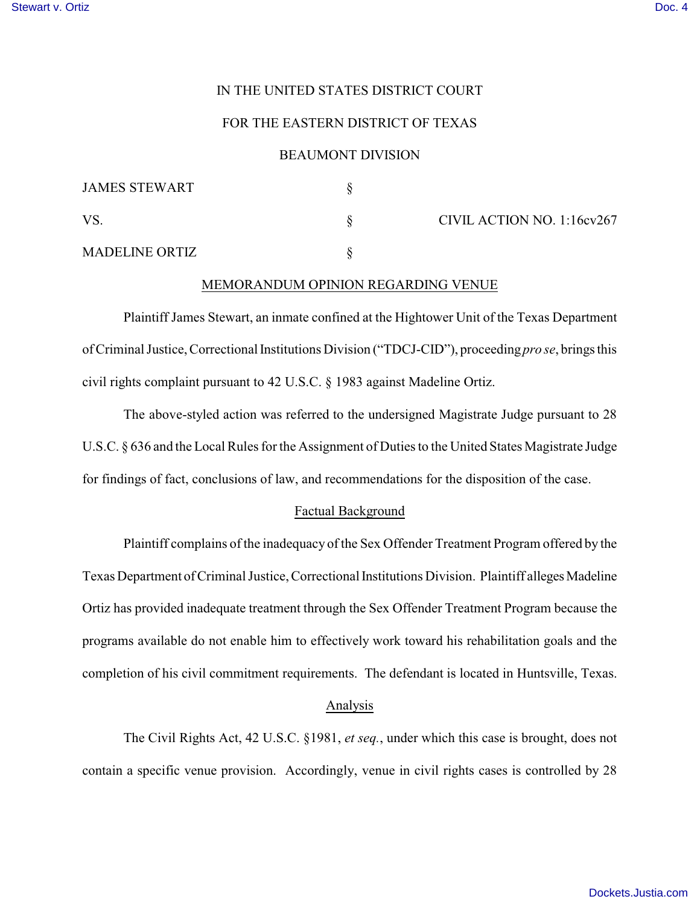## IN THE UNITED STATES DISTRICT COURT

# FOR THE EASTERN DISTRICT OF TEXAS

#### BEAUMONT DIVISION

| <b>JAMES STEWART</b>  |                            |
|-----------------------|----------------------------|
| <b>VS</b>             | CIVIL ACTION NO. 1:16cv267 |
| <b>MADELINE ORTIZ</b> |                            |

## MEMORANDUM OPINION REGARDING VENUE

Plaintiff James Stewart, an inmate confined at the Hightower Unit of the Texas Department of Criminal Justice, Correctional Institutions Division ("TDCJ-CID"), proceeding *pro se*, brings this civil rights complaint pursuant to 42 U.S.C. § 1983 against Madeline Ortiz.

The above-styled action was referred to the undersigned Magistrate Judge pursuant to 28 U.S.C. § 636 and the Local Rules for the Assignment of Duties to the United States Magistrate Judge for findings of fact, conclusions of law, and recommendations for the disposition of the case.

## Factual Background

Plaintiff complains of the inadequacy of the Sex Offender Treatment Program offered by the Texas Department of Criminal Justice, Correctional Institutions Division. Plaintiff alleges Madeline Ortiz has provided inadequate treatment through the Sex Offender Treatment Program because the programs available do not enable him to effectively work toward his rehabilitation goals and the completion of his civil commitment requirements. The defendant is located in Huntsville, Texas.

#### Analysis

The Civil Rights Act, 42 U.S.C. §1981, *et seq.*, under which this case is brought, does not contain a specific venue provision. Accordingly, venue in civil rights cases is controlled by 28